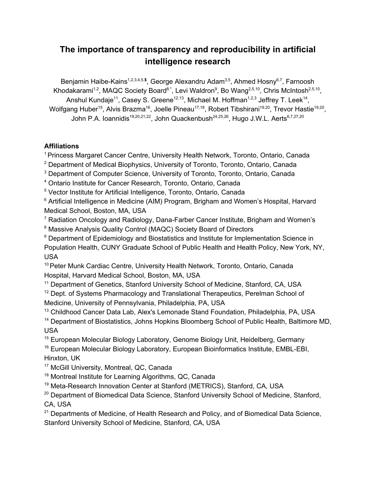# **The importance of transparency and reproducibility in artificial intelligence research**

Benjamin Haibe-Kains<sup>1,2,3,4,5,\$</sup>, George Alexandru Adam<sup>3,5</sup>, Ahmed Hosny<sup>6,7</sup>, Farnoosh Khodakarami<sup>1,2</sup>, MAQC Society Board<sup>8.\*</sup>, Levi Waldron<sup>9</sup>, Bo Wang<sup>2,5,10</sup>, Chris McIntosh<sup>2,5,10</sup>, Anshul Kundaje<sup>11</sup>, Casey S. Greene<sup>12,13</sup>, Michael M. Hoffman<sup>1,2,3</sup> Jeffrey T. Leek<sup>14</sup>, Wolfgang Huber<sup>15</sup>, Alvis Brazma<sup>16</sup>, Joelle Pineau<sup>17,18</sup>, Robert Tibshirani<sup>19,20</sup>, Trevor Hastie<sup>19,20</sup>, John P.A. Ioannidis<sup>19,20,21,22</sup>, John Quackenbush<sup>24,25,26</sup>, Hugo J.W.L. Aerts<sup>6,7,27,20</sup>

# **Affiliations**

<sup>1</sup> Princess Margaret Cancer Centre, University Health Network, Toronto, Ontario, Canada

<sup>2</sup> Department of Medical Biophysics, University of Toronto, Toronto, Ontario, Canada

<sup>3</sup> Department of Computer Science, University of Toronto, Toronto, Ontario, Canada

<sup>4</sup> Ontario Institute for Cancer Research, Toronto, Ontario, Canada

<sup>5</sup> Vector Institute for Artificial Intelligence, Toronto, Ontario, Canada

<sup>6</sup> Artificial Intelligence in Medicine (AIM) Program, Brigham and Women's Hospital, Harvard Medical School, Boston, MA, USA

<sup>7</sup> Radiation Oncology and Radiology, Dana-Farber Cancer Institute, Brigham and Women's

<sup>8</sup> Massive Analysis Quality Control (MAQC) Society Board of Directors

<sup>9</sup> Department of Epidemiology and Biostatistics and Institute for Implementation Science in Population Health, CUNY Graduate School of Public Health and Health Policy, New York, NY, USA

<sup>10</sup> Peter Munk Cardiac Centre, University Health Network, Toronto, Ontario, Canada Hospital, Harvard Medical School, Boston, MA, USA

<sup>11</sup> Department of Genetics, Stanford University School of Medicine, Stanford, CA, USA <sup>12</sup> Dept. of Systems Pharmacology and Translational Therapeutics, Perelman School of Medicine, University of Pennsylvania, Philadelphia, PA, USA

<sup>13</sup> Childhood Cancer Data Lab, Alex's Lemonade Stand Foundation, Philadelphia, PA, USA

<sup>14</sup> Department of Biostatistics, Johns Hopkins Bloomberg School of Public Health, Baltimore MD, USA

<sup>15</sup> European Molecular Biology Laboratory, Genome Biology Unit, Heidelberg, Germany <sup>16</sup> European Molecular Biology Laboratory, European Bioinformatics Institute, EMBL-EBI, Hinxton, UK

- <sup>17</sup> McGill University, Montreal, QC, Canada
- <sup>18</sup> Montreal Institute for Learning Algorithms, QC, Canada

<sup>19</sup> Meta-Research Innovation Center at Stanford (METRICS), Stanford, CA, USA

<sup>20</sup> Department of Biomedical Data Science, Stanford University School of Medicine, Stanford, CA, USA

<sup>21</sup> Departments of Medicine, of Health Research and Policy, and of Biomedical Data Science, Stanford University School of Medicine, Stanford, CA, USA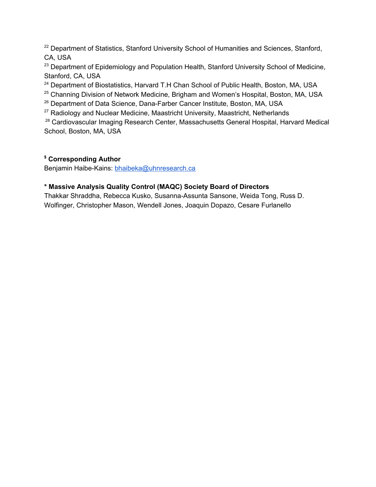<sup>22</sup> Department of Statistics, Stanford University School of Humanities and Sciences, Stanford, CA, USA

<sup>23</sup> Department of Epidemiology and Population Health, Stanford University School of Medicine, Stanford, CA, USA

<sup>24</sup> Department of Biostatistics, Harvard T.H Chan School of Public Health, Boston, MA, USA

<sup>25</sup> Channing Division of Network Medicine, Brigham and Women's Hospital, Boston, MA, USA

<sup>26</sup> Department of Data Science, Dana-Farber Cancer Institute, Boston, MA, USA

 $27$  Radiology and Nuclear Medicine, Maastricht University, Maastricht, Netherlands

<sup>28</sup> Cardiovascular Imaging Research Center, Massachusetts General Hospital, Harvard Medical School, Boston, MA, USA

# **\$ Corresponding Author**

Benjamin Haibe-Kains: [bhaibeka@uhnresearch.ca](mailto:bhaibeka@uhnresearch.ca)

# **\* Massive Analysis Quality Control (MAQC) Society Board of Directors**

Thakkar Shraddha, Rebecca Kusko, Susanna-Assunta Sansone, Weida Tong, Russ D. Wolfinger, Christopher Mason, Wendell Jones, Joaquin Dopazo, Cesare Furlanello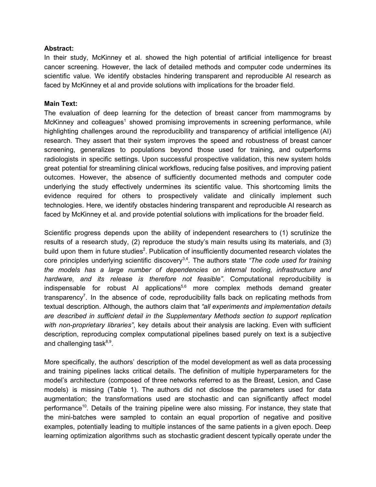#### **Abstract:**

In their study, McKinney et al. showed the high potential of artificial intelligence for breast cancer screening. However, the lack of detailed methods and computer code undermines its scientific value. We identify obstacles hindering transparent and reproducible AI research as faced by McKinney et al and provide solutions with implications for the broader field.

#### **Main Text:**

The evaluation of deep learning for the detection of breast cancer from mammograms by McKinney and colleagues<sup>[1](https://paperpile.com/c/jyeWms/4QOM)</sup> showed promising improvements in screening performance, while highlighting challenges around the reproducibility and transparency of artificial intelligence (AI) research. They assert that their system improves the speed and robustness of breast cancer screening, generalizes to populations beyond those used for training, and outperforms radiologists in specific settings. Upon successful prospective validation, this new system holds great potential for streamlining clinical workflows, reducing false positives, and improving patient outcomes. However, the absence of sufficiently documented methods and computer code underlying the study effectively undermines its scientific value. This shortcoming limits the evidence required for others to prospectively validate and clinically implement such technologies. Here, we identify obstacles hindering transparent and reproducible AI research as faced by McKinney et al. and provide potential solutions with implications for the broader field.

Scientific progress depends upon the ability of independent researchers to (1) scrutinize the results of a research study, (2) reproduce the study's main results using its materials, and (3) build upon them in future studies<sup>[2](https://paperpile.com/c/jyeWms/FMQr)</sup>. Publication of insufficiently documented research violates the core principles underlying scientific discovery [3,4](https://paperpile.com/c/jyeWms/cmyq+5nDd) . The authors state *"The code used for training the models has a large number of dependencies on internal tooling, infrastructure and hardware, and its release is therefore not feasible"*. Computational reproducibility is indispensable for robust AI applications<sup>[5,6](https://paperpile.com/c/jyeWms/4zSX+lvNF)</sup> more complex methods demand greater transparency<sup>[7](https://paperpile.com/c/jyeWms/m7Eu)</sup>. In the absence of code, reproducibility falls back on replicating methods from textual description. Although, the authors claim that *"all experiments and implementation details are described in sufficient detail in the Supplementary Methods section to support replication with non-proprietary libraries"*, key details about their analysis are lacking. Even with sufficient description, reproducing complex computational pipelines based purely on text is a subjective and challenging task<sup>[8,9](https://paperpile.com/c/jyeWms/Tw8q+kZ1T)</sup>.

More specifically, the authors' description of the model development as well as data processing and training pipelines lacks critical details. The definition of multiple hyperparameters for the model's architecture (composed of three networks referred to as the Breast, Lesion, and Case models) is missing (Table 1). The authors did not disclose the parameters used for data augmentation; the transformations used are stochastic and can significantly affect model performance<sup>[10](https://paperpile.com/c/jyeWms/vurg)</sup>. Details of the training pipeline were also missing. For instance, they state that the mini-batches were sampled to contain an equal proportion of negative and positive examples, potentially leading to multiple instances of the same patients in a given epoch. Deep learning optimization algorithms such as stochastic gradient descent typically operate under the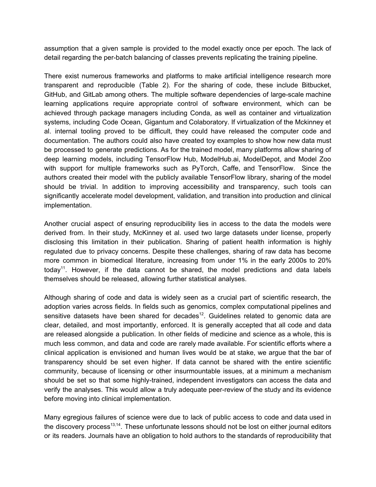assumption that a given sample is provided to the model exactly once per epoch. The lack of detail regarding the per-batch balancing of classes prevents replicating the training pipeline.

There exist numerous frameworks and platforms to make artificial intelligence research more transparent and reproducible (Table 2). For the sharing of code, these include Bitbucket, GitHub, and GitLab among others. The multiple software dependencies of large-scale machine learning applications require appropriate control of software environment, which can be achieved through package managers including Conda, as well as container and virtualization systems, including Code Ocean, Gigantum and Colaboratory. If virtualization of the Mckinney et al. internal tooling proved to be difficult, they could have released the computer code and documentation. The authors could also have created toy examples to show how new data must be processed to generate predictions. As for the trained model, many platforms allow sharing of deep learning models, including TensorFlow Hub, ModelHub.ai, ModelDepot, and Model Zoo with support for multiple frameworks such as PyTorch, Caffe, and TensorFlow. Since the authors created their model with the publicly available TensorFlow library, sharing of the model should be trivial. In addition to improving accessibility and transparency, such tools can significantly accelerate model development, validation, and transition into production and clinical implementation.

Another crucial aspect of ensuring reproducibility lies in access to the data the models were derived from. In their study, McKinney et al. used two large datasets under license, properly disclosing this limitation in their publication. Sharing of patient health information is highly regulated due to privacy concerns. Despite these challenges, sharing of raw data has become more common in biomedical literature, increasing from under 1% in the early 2000s to 20% today<sup>[11](https://paperpile.com/c/jyeWms/nfqj)</sup>. However, if the data cannot be shared, the model predictions and data labels themselves should be released, allowing further statistical analyses.

Although sharing of code and data is widely seen as a crucial part of scientific research, the adoption varies across fields. In fields such as genomics, complex computational pipelines and sensitive datasets have been shared for decades<sup>[12](https://paperpile.com/c/jyeWms/mefx)</sup>. Guidelines related to genomic data are clear, detailed, and most importantly, enforced. It is generally accepted that all code and data are released alongside a publication. In other fields of medicine and science as a whole, this is much less common, and data and code are rarely made available. For scientific efforts where a clinical application is envisioned and human lives would be at stake, we argue that the bar of transparency should be set even higher. If data cannot be shared with the entire scientific community, because of licensing or other insurmountable issues, at a minimum a mechanism should be set so that some highly-trained, independent investigators can access the data and verify the analyses. This would allow a truly adequate peer-review of the study and its evidence before moving into clinical implementation.

Many egregious failures of science were due to lack of public access to code and data used in the discovery process<sup>[13,14](https://paperpile.com/c/jyeWms/H8xL+t9dn)</sup>. These unfortunate lessons should not be lost on either journal editors or its readers. Journals have an obligation to hold authors to the standards of reproducibility that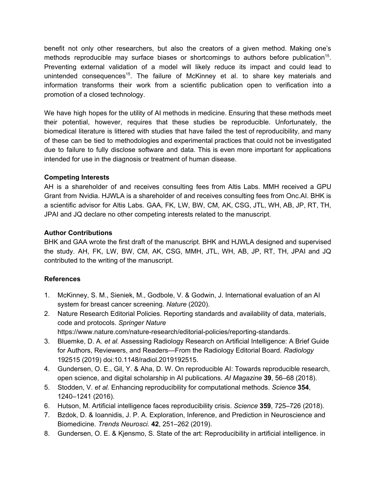benefit not only other researchers, but also the creators of a given method. Making one's methods reproducible may surface biases or shortcomings to authors before publication<sup>[15](https://paperpile.com/c/jyeWms/bigq)</sup>. Preventing external validation of a model will likely reduce its impact and could lead to unintended consequences<sup>[15](https://paperpile.com/c/jyeWms/bigq)</sup>. The failure of McKinney et al. to share key materials and information transforms their work from a scientific publication open to verification into a promotion of a closed technology.

We have high hopes for the utility of AI methods in medicine. Ensuring that these methods meet their potential, however, requires that these studies be reproducible. Unfortunately, the biomedical literature is littered with studies that have failed the test of reproducibility, and many of these can be tied to methodologies and experimental practices that could not be investigated due to failure to fully disclose software and data. This is even more important for applications intended for use in the diagnosis or treatment of human disease.

### **Competing Interests**

AH is a shareholder of and receives consulting fees from Altis Labs. MMH received a GPU Grant from Nvidia. HJWLA is a shareholder of and receives consulting fees from Onc.AI. BHK is a scientific advisor for Altis Labs. GAA, FK, LW, BW, CM, AK, CSG, JTL, WH, AB, JP, RT, TH, JPAI and JQ declare no other competing interests related to the manuscript.

### **Author Contributions**

BHK and GAA wrote the first draft of the manuscript. BHK and HJWLA designed and supervised the study. AH, FK, LW, BW, CM, AK, CSG, MMH, JTL, WH, AB, JP, RT, TH, JPAI and JQ contributed to the writing of the manuscript.

## **References**

- 1. McKinney, S. M., Sieniek, M., Godbole, V. & Godwin, J. [International](https://www.nature.com/articles/s41586-019-1799-6) evaluation of an AI system for breast cancer [screening.](https://www.nature.com/articles/s41586-019-1799-6) *[Nature](https://www.nature.com/articles/s41586-019-1799-6)* [\(2020\).](https://www.nature.com/articles/s41586-019-1799-6)
- 2. Nature Research Editorial Policies. Reporting standards and [availability](https://www.nature.com/nature-research/editorial-policies/reporting-standards) of data, materials, code and [protocols.](https://www.nature.com/nature-research/editorial-policies/reporting-standards) *[Springer](https://www.nature.com/nature-research/editorial-policies/reporting-standards) Natur[e](https://www.nature.com/nature-research/editorial-policies/reporting-standards)* <https://www.nature.com/nature-research/editorial-policies/reporting-standards>[.](http://paperpile.com/b/jyeWms/FMQr)
- 3. [Bluemke,](https://pubs.rsna.org/doi/10.1148/radiol.2019192515) D. A. *et [al.](https://pubs.rsna.org/doi/10.1148/radiol.2019192515)* Assessing Radiology Research on Artificial [Intelligence:](https://pubs.rsna.org/doi/10.1148/radiol.2019192515) A Brief Guide for Authors, Reviewers, and [Readers—From](https://pubs.rsna.org/doi/10.1148/radiol.2019192515) the Radiology Editorial Board. *[Radiology](https://pubs.rsna.org/doi/10.1148/radiol.2019192515)* [192515](https://pubs.rsna.org/doi/10.1148/radiol.2019192515) (2019) doi[:10.1148/radiol.2019192515](http://dx.doi.org/10.1148/radiol.2019192515)[.](http://paperpile.com/b/jyeWms/cmyq)
- 4. Gundersen, O. E., Gil, Y. & Aha, D. W. On reproducible AI: Towards [reproducible](https://www.aaai.org/ojs/index.php/aimagazine/article/view/2816) research, open science, and digital scholarship in AI [publications.](https://www.aaai.org/ojs/index.php/aimagazine/article/view/2816) *AI [Magazine](https://www.aaai.org/ojs/index.php/aimagazine/article/view/2816)* **[39](https://www.aaai.org/ojs/index.php/aimagazine/article/view/2816)**, 56–68 [\(2018\).](https://www.aaai.org/ojs/index.php/aimagazine/article/view/2816)
- 5. [Stodden,](https://science.sciencemag.org/content/354/6317/1240) V. *et [al.](https://science.sciencemag.org/content/354/6317/1240)* Enhancing reproducibility for [computational](https://science.sciencemag.org/content/354/6317/1240) methods. *[Science](https://science.sciencemag.org/content/354/6317/1240)* **[354](https://science.sciencemag.org/content/354/6317/1240)**[,](https://science.sciencemag.org/content/354/6317/1240) [1240–1241](https://science.sciencemag.org/content/354/6317/1240) (2016).
- 6. Hutson, M. Artificial intelligence faces [reproducibility](https://science.sciencemag.org/content/359/6377/725) crisis. *[Science](https://science.sciencemag.org/content/359/6377/725)* **[359](https://science.sciencemag.org/content/359/6377/725)**, [725–726](https://science.sciencemag.org/content/359/6377/725) (2018).
- 7. Bzdok, D. & Ioannidis, J. P. A. Exploration, Inference, and Prediction in [Neuroscience](https://arxiv.org/abs/1903.10310) and [Biomedicine.](https://arxiv.org/abs/1903.10310) *Trends [Neurosci.](https://arxiv.org/abs/1903.10310)* **[42](https://arxiv.org/abs/1903.10310)**, [251–262](https://arxiv.org/abs/1903.10310) (2019).
- 8. Gundersen, O. E. & Kjensmo, S. State of the art: [Reproducibility](https://www.aaai.org/ocs/index.php/AAAI/AAAI18/paper/viewFile/17248/15864) in artificial intelligence. in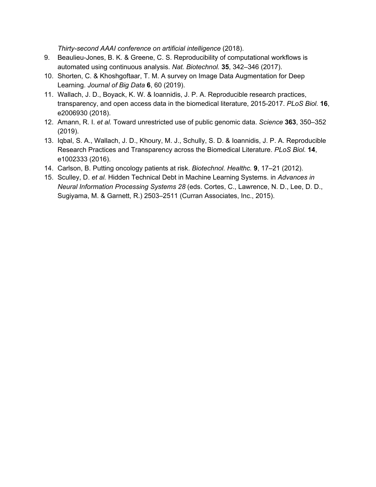*[Thirty-second](https://www.aaai.org/ocs/index.php/AAAI/AAAI18/paper/viewFile/17248/15864) AAAI conference on artificial intelligence* [\(2018\).](https://www.aaai.org/ocs/index.php/AAAI/AAAI18/paper/viewFile/17248/15864)

- 9. [Beaulieu-Jones,](https://www.ncbi.nlm.nih.gov/pmc/articles/PMC6103790/) B. K. & Greene, C. S. Reproducibility of computational workflows is automated using [continuous](https://www.ncbi.nlm.nih.gov/pmc/articles/PMC6103790/) analysis. *Nat. [Biotechnol.](https://www.ncbi.nlm.nih.gov/pmc/articles/PMC6103790/)* **[35](https://www.ncbi.nlm.nih.gov/pmc/articles/PMC6103790/)**, [342–346](https://www.ncbi.nlm.nih.gov/pmc/articles/PMC6103790/) (2017).
- 10. Shorten, C. & [Khoshgoftaar,](https://link.springer.com/article/10.1186/s40537-019-0197-0) T. M. A survey on Image Data Augmentation for Deep [Learning.](https://link.springer.com/article/10.1186/s40537-019-0197-0) *[Journal](https://link.springer.com/article/10.1186/s40537-019-0197-0) of Big Dat[a](https://link.springer.com/article/10.1186/s40537-019-0197-0)* **[6](https://link.springer.com/article/10.1186/s40537-019-0197-0)**, 60 [\(2019\).](https://link.springer.com/article/10.1186/s40537-019-0197-0)
- 11. Wallach, J. D., Boyack, K. W. & Ioannidis, J. P. A. [Reproducible](https://journals.plos.org/plosbiology/article?id=10.1371/journal.pbio.2006930) research practices, [transparency,](https://journals.plos.org/plosbiology/article?id=10.1371/journal.pbio.2006930) and open access data in the biomedical literature, 2015-2017. *[PLoS](https://journals.plos.org/plosbiology/article?id=10.1371/journal.pbio.2006930) Biol[.](https://journals.plos.org/plosbiology/article?id=10.1371/journal.pbio.2006930)* **[16](https://journals.plos.org/plosbiology/article?id=10.1371/journal.pbio.2006930)**[,](https://journals.plos.org/plosbiology/article?id=10.1371/journal.pbio.2006930) [e2006930](https://journals.plos.org/plosbiology/article?id=10.1371/journal.pbio.2006930) (2018).
- 12. [Amann,](https://science.sciencemag.org/content/363/6425/350) R. I. *et [al.](https://science.sciencemag.org/content/363/6425/350)* Toward [unrestricted](https://science.sciencemag.org/content/363/6425/350) use of public genomic data. *[Science](https://science.sciencemag.org/content/363/6425/350)* **[363](https://science.sciencemag.org/content/363/6425/350)**, [350–352](https://science.sciencemag.org/content/363/6425/350) [\(2019\).](https://science.sciencemag.org/content/363/6425/350)
- 13. Iqbal, S. A., Wallach, J. D., Khoury, M. J., Schully, S. D. & Ioannidis, J. P. A. [Reproducible](https://journals.plos.org/plosbiology/article?id=10.1371/journal.pbio.1002333) Research Practices and [Transparency](https://journals.plos.org/plosbiology/article?id=10.1371/journal.pbio.1002333) across the Biomedical Literature. *[PLoS](https://journals.plos.org/plosbiology/article?id=10.1371/journal.pbio.1002333) Biol[.](https://journals.plos.org/plosbiology/article?id=10.1371/journal.pbio.1002333)* **[14](https://journals.plos.org/plosbiology/article?id=10.1371/journal.pbio.1002333)**[,](https://journals.plos.org/plosbiology/article?id=10.1371/journal.pbio.1002333) [e1002333](https://journals.plos.org/plosbiology/article?id=10.1371/journal.pbio.1002333) (2016).
- 14. Carlson, B. Putting [oncology](https://www.ncbi.nlm.nih.gov/pmc/articles/PMC3474449/) patients at risk. *[Biotechnol.](https://www.ncbi.nlm.nih.gov/pmc/articles/PMC3474449/) Healthc[.](https://www.ncbi.nlm.nih.gov/pmc/articles/PMC3474449/)* **[9](https://www.ncbi.nlm.nih.gov/pmc/articles/PMC3474449/)**, 17–21 [\(2012\).](https://www.ncbi.nlm.nih.gov/pmc/articles/PMC3474449/)
- 15. [Sculley,](https://papers.nips.cc/paper/5656-hidden-technical-debt-in-machine-learning-systems.pdf) D. *et [al.](https://papers.nips.cc/paper/5656-hidden-technical-debt-in-machine-learning-systems.pdf)* Hidden [Technical](https://papers.nips.cc/paper/5656-hidden-technical-debt-in-machine-learning-systems.pdf) Debt in Machine Learning Systems. in *[Advances](https://papers.nips.cc/paper/5656-hidden-technical-debt-in-machine-learning-systems.pdf) in Neural [Information](https://papers.nips.cc/paper/5656-hidden-technical-debt-in-machine-learning-systems.pdf) Processing Systems 28* (eds. Cortes, C., [Lawrence,](https://papers.nips.cc/paper/5656-hidden-technical-debt-in-machine-learning-systems.pdf) N. D., Lee, D. D., Sugiyama, M. & Garnett, R.) 2503–2511 (Curran [Associates,](https://papers.nips.cc/paper/5656-hidden-technical-debt-in-machine-learning-systems.pdf) Inc., 2015).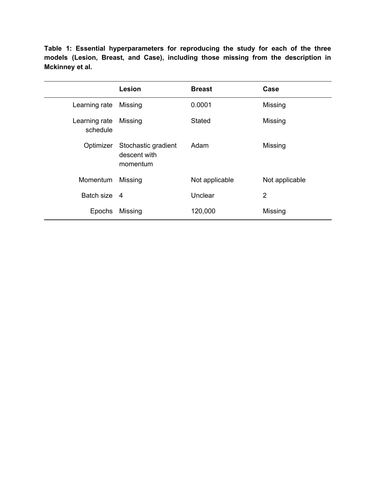**Table 1: Essential hyperparameters for reproducing the study for each of the three models (Lesion, Breast, and Case), including those missing from the description in Mckinney et al.**

|                           | <b>Lesion</b>                                   | <b>Breast</b>  | Case           |
|---------------------------|-------------------------------------------------|----------------|----------------|
| Learning rate             | Missing                                         | 0.0001         | Missing        |
| Learning rate<br>schedule | Missing                                         | <b>Stated</b>  | Missing        |
| Optimizer                 | Stochastic gradient<br>descent with<br>momentum | Adam           | Missing        |
| Momentum                  | Missing                                         | Not applicable | Not applicable |
| Batch size 4              |                                                 | Unclear        | $\overline{2}$ |
| Epochs                    | Missing                                         | 120,000        | Missing        |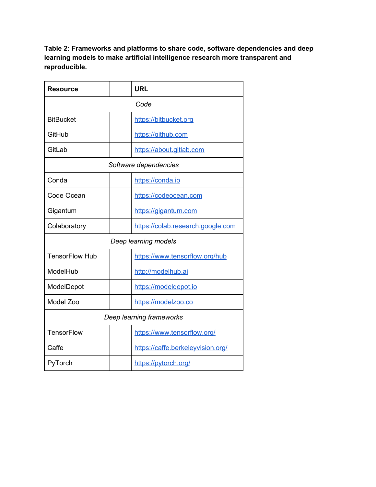**Table 2: Frameworks and platforms to share code, software dependencies and deep learning models to make artificial intelligence research more transparent and reproducible.**

| <b>Resource</b>          | <b>URL</b>                        |  |  |  |
|--------------------------|-----------------------------------|--|--|--|
| Code                     |                                   |  |  |  |
| <b>BitBucket</b>         | https://bitbucket.org             |  |  |  |
| GitHub                   | https://github.com                |  |  |  |
| GitLab                   | https://about.gitlab.com          |  |  |  |
| Software dependencies    |                                   |  |  |  |
| Conda                    | https://conda.io                  |  |  |  |
| Code Ocean               | https://codeocean.com             |  |  |  |
| Gigantum                 | https://gigantum.com              |  |  |  |
| Colaboratory             | https://colab.research.google.com |  |  |  |
| Deep learning models     |                                   |  |  |  |
| <b>TensorFlow Hub</b>    | https://www.tensorflow.org/hub    |  |  |  |
| ModelHub                 | http://modelhub.ai                |  |  |  |
| ModelDepot               | https://modeldepot.io             |  |  |  |
| Model Zoo                | https://modelzoo.co               |  |  |  |
| Deep learning frameworks |                                   |  |  |  |
| <b>TensorFlow</b>        | https://www.tensorflow.org/       |  |  |  |
| Caffe                    | https://caffe.berkeleyvision.org/ |  |  |  |
| PyTorch                  | https://pytorch.org/              |  |  |  |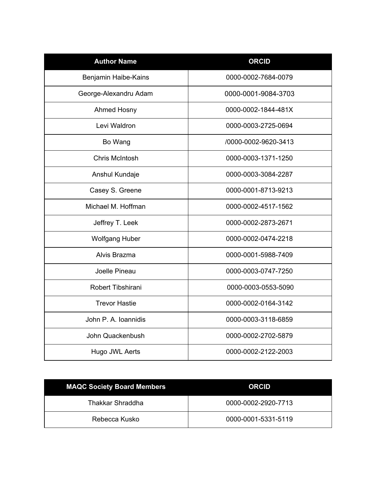| <b>Author Name</b>    | <b>ORCID</b>         |  |
|-----------------------|----------------------|--|
| Benjamin Haibe-Kains  | 0000-0002-7684-0079  |  |
| George-Alexandru Adam | 0000-0001-9084-3703  |  |
| Ahmed Hosny           | 0000-0002-1844-481X  |  |
| Levi Waldron          | 0000-0003-2725-0694  |  |
| Bo Wang               | /0000-0002-9620-3413 |  |
| Chris McIntosh        | 0000-0003-1371-1250  |  |
| Anshul Kundaje        | 0000-0003-3084-2287  |  |
| Casey S. Greene       | 0000-0001-8713-9213  |  |
| Michael M. Hoffman    | 0000-0002-4517-1562  |  |
| Jeffrey T. Leek       | 0000-0002-2873-2671  |  |
| <b>Wolfgang Huber</b> | 0000-0002-0474-2218  |  |
| Alvis Brazma          | 0000-0001-5988-7409  |  |
| Joelle Pineau         | 0000-0003-0747-7250  |  |
| Robert Tibshirani     | 0000-0003-0553-5090  |  |
| <b>Trevor Hastie</b>  | 0000-0002-0164-3142  |  |
| John P. A. Ioannidis  | 0000-0003-3118-6859  |  |
| John Quackenbush      | 0000-0002-2702-5879  |  |
| Hugo JWL Aerts        | 0000-0002-2122-2003  |  |

| <b>MAQC Society Board Members</b> | <b>ORCID</b>        |
|-----------------------------------|---------------------|
| Thakkar Shraddha                  | 0000-0002-2920-7713 |
| Rebecca Kusko                     | 0000-0001-5331-5119 |